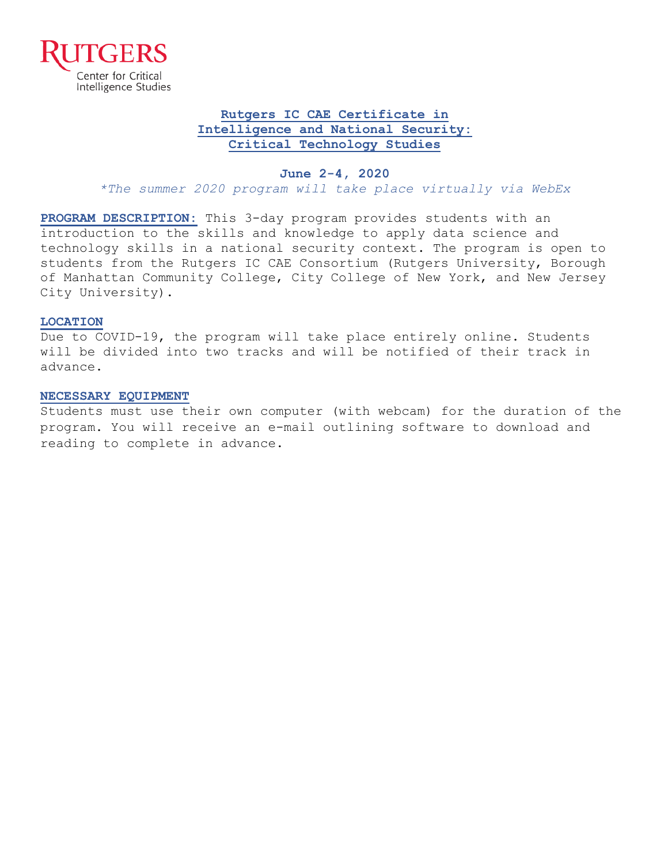

### **Rutgers IC CAE Certificate in Intelligence and National Security: Critical Technology Studies**

#### **June 2-4, 2020**

*\*The summer 2020 program will take place virtually via WebEx*

**PROGRAM DESCRIPTION:** This 3-day program provides students with an introduction to the skills and knowledge to apply data science and technology skills in a national security context. The program is open to students from the Rutgers IC CAE Consortium (Rutgers University, Borough of Manhattan Community College, City College of New York, and New Jersey City University).

#### **LOCATION**

Due to COVID-19, the program will take place entirely online. Students will be divided into two tracks and will be notified of their track in advance.

#### **NECESSARY EQUIPMENT**

Students must use their own computer (with webcam) for the duration of the program. You will receive an e-mail outlining software to download and reading to complete in advance.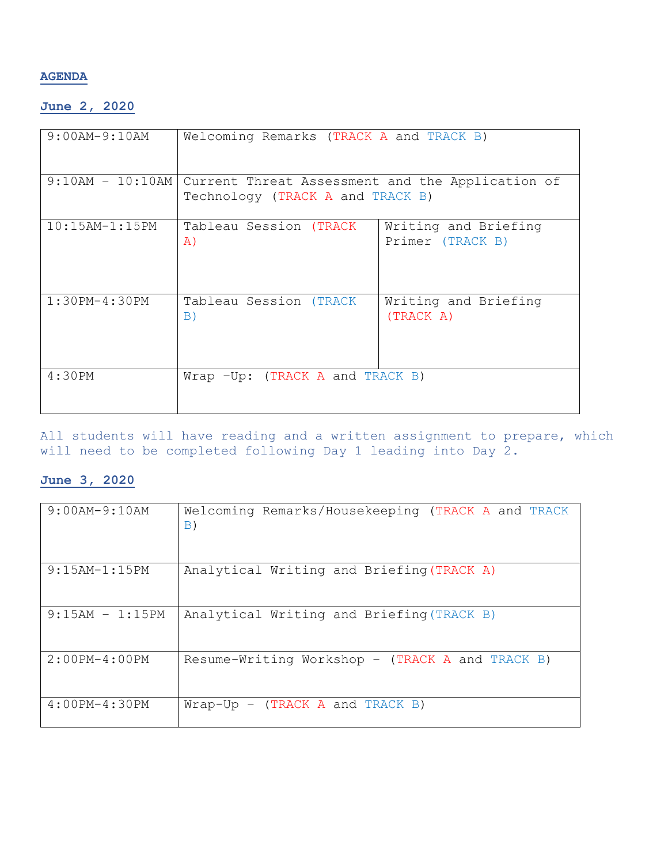### **AGENDA**

# **June 2, 2020**

| $9:00$ AM-9:10AM      | Welcoming Remarks (TRACK A and TRACK B)                                              |                                          |
|-----------------------|--------------------------------------------------------------------------------------|------------------------------------------|
| $9:10AM - 10:10AM$    | Current Threat Assessment and the Application of<br>Technology (TRACK A and TRACK B) |                                          |
| $10:15$ AM- $1:15$ PM | Tableau Session (TRACK<br>A)                                                         | Writing and Briefing<br>Primer (TRACK B) |
| $1:30PM-4:30PM$       | Tableau Session (TRACK<br>B)                                                         | Writing and Briefing<br>(TRACK A)        |
| 4:30PM                | Wrap -Up: (TRACK A and TRACK B)                                                      |                                          |

All students will have reading and a written assignment to prepare, which will need to be completed following Day 1 leading into Day 2.

## **June 3, 2020**

| 9:00AM-9:10AM     | Welcoming Remarks/Housekeeping (TRACK A and TRACK<br>B) |  |
|-------------------|---------------------------------------------------------|--|
| $9:15AM-1:15PM$   | Analytical Writing and Briefing (TRACK A)               |  |
| $9:15AM - 1:15PM$ | Analytical Writing and Briefing (TRACK B)               |  |
| $2:00PM-4:00PM$   | Resume-Writing Workshop - (TRACK A and TRACK B)         |  |
| $4:00PM-4:30PM$   | $Wrap-Up - (TRACK A and TRACK B)$                       |  |